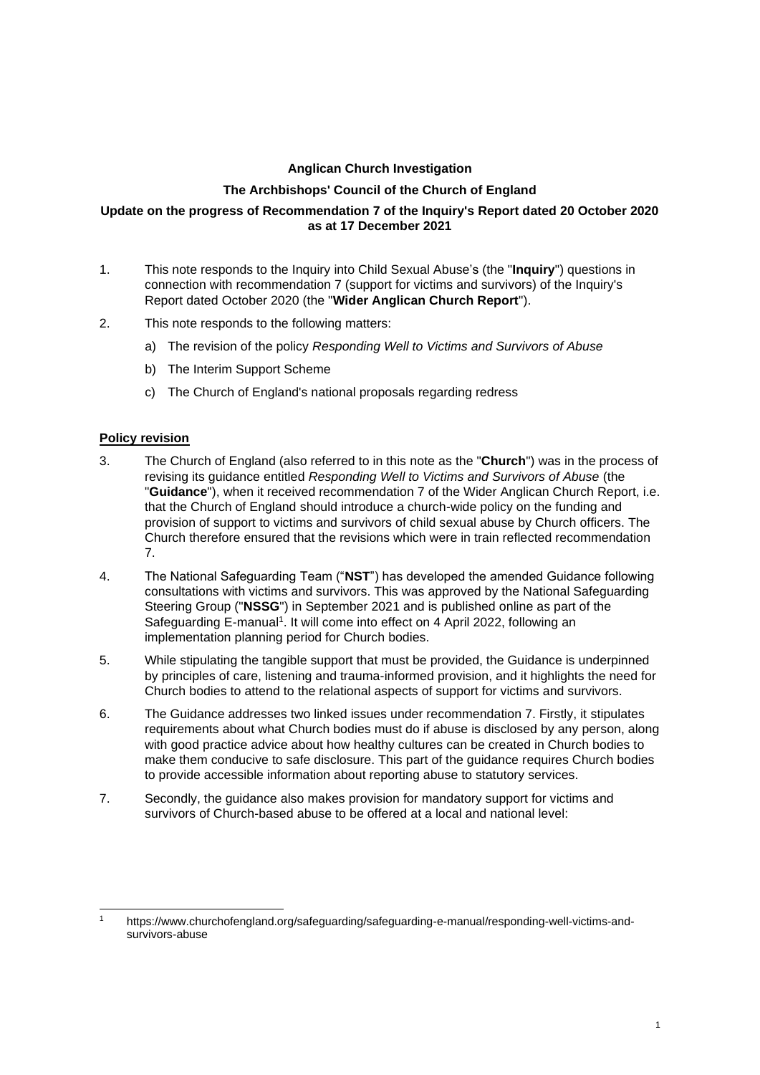## **Anglican Church Investigation**

## **The Archbishops' Council of the Church of England**

#### **Update on the progress of Recommendation 7 of the Inquiry's Report dated 20 October 2020 as at 17 December 2021**

- 1. This note responds to the Inquiry into Child Sexual Abuse's (the "**Inquiry**") questions in connection with recommendation 7 (support for victims and survivors) of the Inquiry's Report dated October 2020 (the "**Wider Anglican Church Report**").
- 2. This note responds to the following matters:
	- a) The revision of the policy *Responding Well to Victims and Survivors of Abuse*
	- b) The Interim Support Scheme
	- c) The Church of England's national proposals regarding redress

# **Policy revision**

- 3. The Church of England (also referred to in this note as the "**Church**") was in the process of revising its guidance entitled *Responding Well to Victims and Survivors of Abuse* (the "**Guidance**"), when it received recommendation 7 of the Wider Anglican Church Report, i.e. that the Church of England should introduce a church-wide policy on the funding and provision of support to victims and survivors of child sexual abuse by Church officers. The Church therefore ensured that the revisions which were in train reflected recommendation 7.
- 4. The National Safeguarding Team ("**NST**") has developed the amended Guidance following consultations with victims and survivors. This was approved by the National Safeguarding Steering Group ("**NSSG**") in September 2021 and is published online as part of the Safeguarding E-manual<sup>1</sup>. It will come into effect on 4 April 2022, following an implementation planning period for Church bodies.
- 5. While stipulating the tangible support that must be provided, the Guidance is underpinned by principles of care, listening and trauma-informed provision, and it highlights the need for Church bodies to attend to the relational aspects of support for victims and survivors.
- 6. The Guidance addresses two linked issues under recommendation 7. Firstly, it stipulates requirements about what Church bodies must do if abuse is disclosed by any person, along with good practice advice about how healthy cultures can be created in Church bodies to make them conducive to safe disclosure. This part of the guidance requires Church bodies to provide accessible information about reporting abuse to statutory services.
- 7. Secondly, the guidance also makes provision for mandatory support for victims and survivors of Church-based abuse to be offered at a local and national level:

<sup>1</sup> https://www.churchofengland.org/safeguarding/safeguarding-e-manual/responding-well-victims-andsurvivors-abuse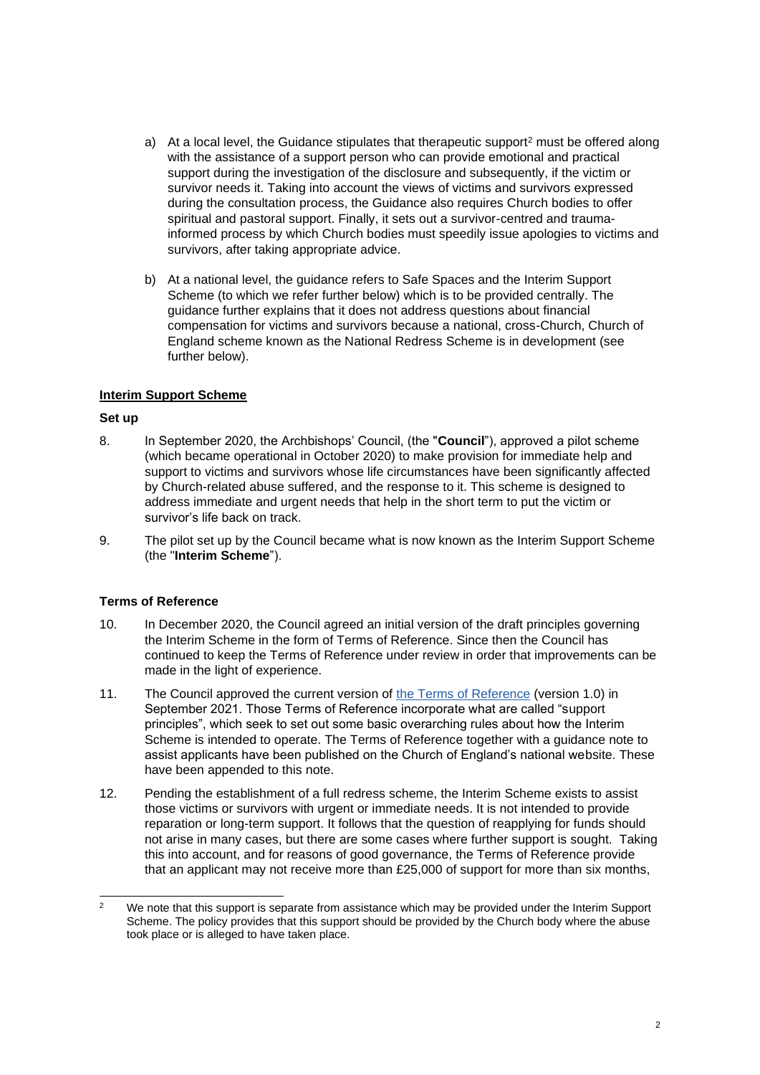- a) At a local level, the Guidance stipulates that therapeutic support<sup>2</sup> must be offered along with the assistance of a support person who can provide emotional and practical support during the investigation of the disclosure and subsequently, if the victim or survivor needs it. Taking into account the views of victims and survivors expressed during the consultation process, the Guidance also requires Church bodies to offer spiritual and pastoral support. Finally, it sets out a survivor-centred and traumainformed process by which Church bodies must speedily issue apologies to victims and survivors, after taking appropriate advice.
- b) At a national level, the guidance refers to Safe Spaces and the Interim Support Scheme (to which we refer further below) which is to be provided centrally. The guidance further explains that it does not address questions about financial compensation for victims and survivors because a national, cross-Church, Church of England scheme known as the National Redress Scheme is in development (see further below).

### **Interim Support Scheme**

### **Set up**

- 8. In September 2020, the Archbishops' Council, (the "**Council**"), approved a pilot scheme (which became operational in October 2020) to make provision for immediate help and support to victims and survivors whose life circumstances have been significantly affected by Church-related abuse suffered, and the response to it. This scheme is designed to address immediate and urgent needs that help in the short term to put the victim or survivor's life back on track.
- 9. The pilot set up by the Council became what is now known as the Interim Support Scheme (the "**Interim Scheme**").

### **Terms of Reference**

- 10. In December 2020, the Council agreed an initial version of the draft principles governing the Interim Scheme in the form of Terms of Reference. Since then the Council has continued to keep the Terms of Reference under review in order that improvements can be made in the light of experience.
- 11. The Council approved the current version of [the Terms of Reference](https://www.churchofengland.org/sites/default/files/2021-11/ISS%20-%20TOR%20v1.0.pdf) (version 1.0) in September 2021. Those Terms of Reference incorporate what are called "support principles", which seek to set out some basic overarching rules about how the Interim Scheme is intended to operate. The Terms of Reference together with a guidance note to assist applicants have been published on the Church of England's national website. These have been appended to this note.
- 12. Pending the establishment of a full redress scheme, the Interim Scheme exists to assist those victims or survivors with urgent or immediate needs. It is not intended to provide reparation or long-term support. It follows that the question of reapplying for funds should not arise in many cases, but there are some cases where further support is sought. Taking this into account, and for reasons of good governance, the Terms of Reference provide that an applicant may not receive more than £25,000 of support for more than six months,

<sup>&</sup>lt;sup>2</sup> We note that this support is separate from assistance which may be provided under the Interim Support Scheme. The policy provides that this support should be provided by the Church body where the abuse took place or is alleged to have taken place.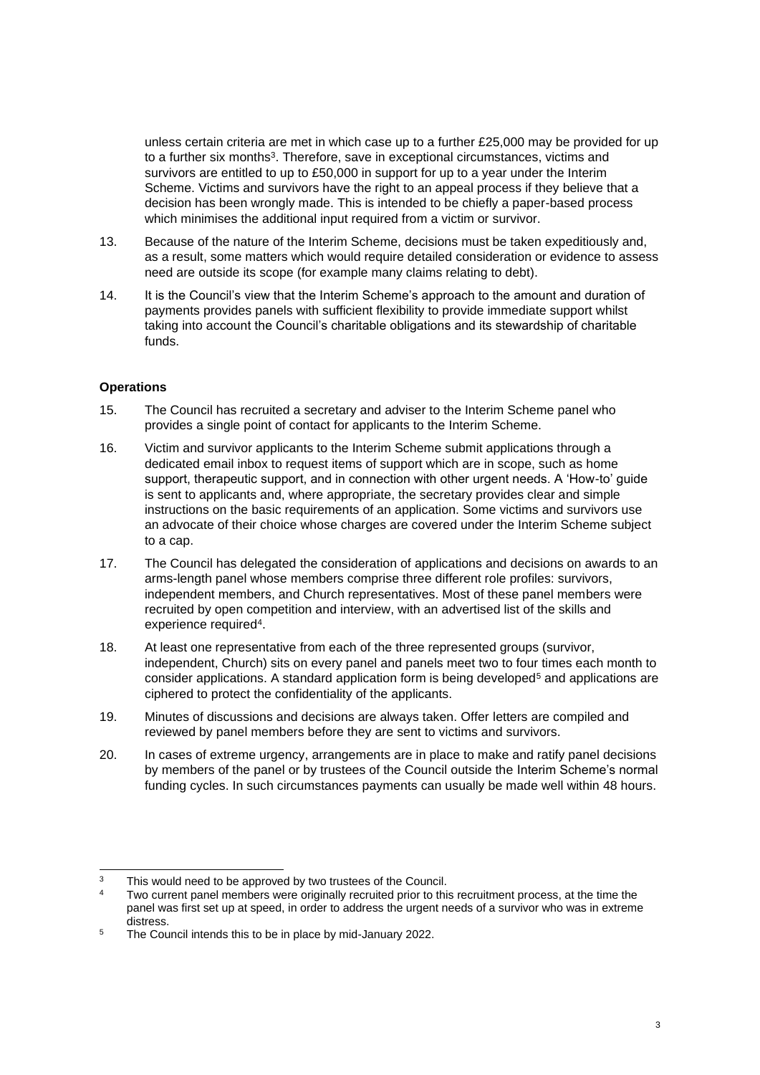unless certain criteria are met in which case up to a further £25,000 may be provided for up to a further six months<sup>3</sup>. Therefore, save in exceptional circumstances, victims and survivors are entitled to up to £50,000 in support for up to a year under the Interim Scheme. Victims and survivors have the right to an appeal process if they believe that a decision has been wrongly made. This is intended to be chiefly a paper-based process which minimises the additional input required from a victim or survivor.

- 13. Because of the nature of the Interim Scheme, decisions must be taken expeditiously and, as a result, some matters which would require detailed consideration or evidence to assess need are outside its scope (for example many claims relating to debt).
- 14. It is the Council's view that the Interim Scheme's approach to the amount and duration of payments provides panels with sufficient flexibility to provide immediate support whilst taking into account the Council's charitable obligations and its stewardship of charitable funds.

#### **Operations**

- 15. The Council has recruited a secretary and adviser to the Interim Scheme panel who provides a single point of contact for applicants to the Interim Scheme.
- 16. Victim and survivor applicants to the Interim Scheme submit applications through a dedicated email inbox to request items of support which are in scope, such as home support, therapeutic support, and in connection with other urgent needs. A 'How-to' guide is sent to applicants and, where appropriate, the secretary provides clear and simple instructions on the basic requirements of an application. Some victims and survivors use an advocate of their choice whose charges are covered under the Interim Scheme subject to a cap.
- 17. The Council has delegated the consideration of applications and decisions on awards to an arms-length panel whose members comprise three different role profiles: survivors, independent members, and Church representatives. Most of these panel members were recruited by open competition and interview, with an advertised list of the skills and experience required<sup>4</sup>.
- 18. At least one representative from each of the three represented groups (survivor, independent, Church) sits on every panel and panels meet two to four times each month to consider applications. A standard application form is being developed<sup>5</sup> and applications are ciphered to protect the confidentiality of the applicants.
- 19. Minutes of discussions and decisions are always taken. Offer letters are compiled and reviewed by panel members before they are sent to victims and survivors.
- 20. In cases of extreme urgency, arrangements are in place to make and ratify panel decisions by members of the panel or by trustees of the Council outside the Interim Scheme's normal funding cycles. In such circumstances payments can usually be made well within 48 hours.

 $3$  This would need to be approved by two trustees of the Council.

Two current panel members were originally recruited prior to this recruitment process, at the time the panel was first set up at speed, in order to address the urgent needs of a survivor who was in extreme distress.

<sup>&</sup>lt;sup>5</sup> The Council intends this to be in place by mid-January 2022.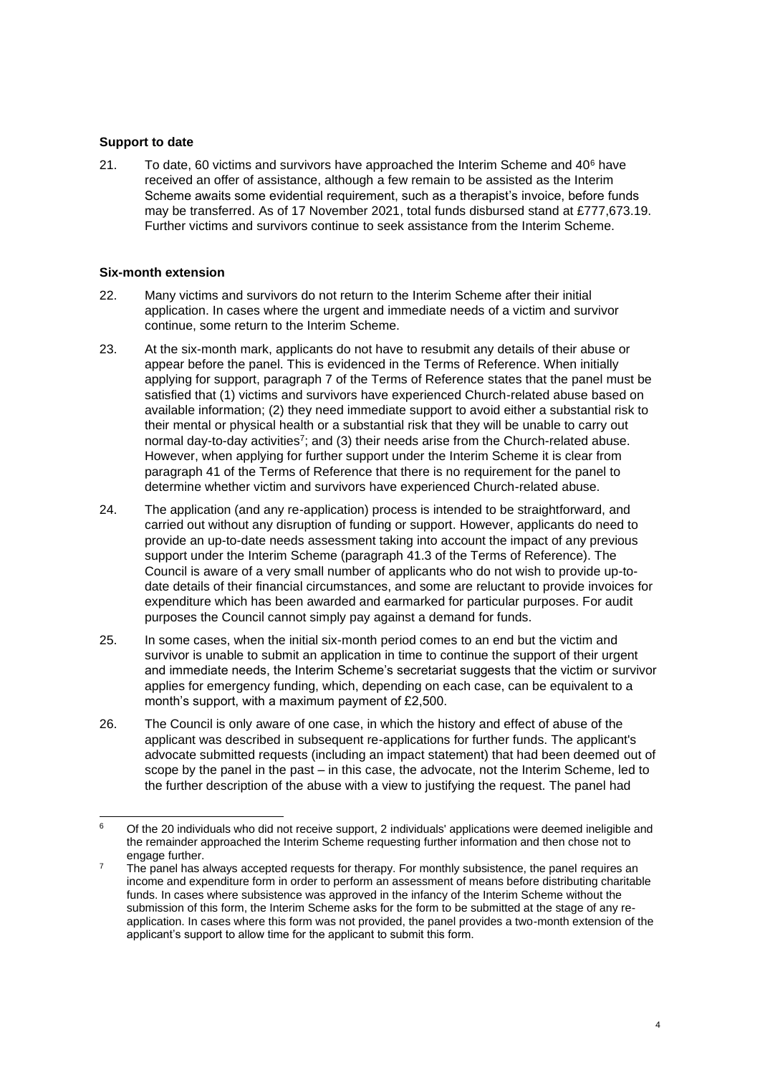#### **Support to date**

21. To date, 60 victims and survivors have approached the Interim Scheme and 40<sup>6</sup> have received an offer of assistance, although a few remain to be assisted as the Interim Scheme awaits some evidential requirement, such as a therapist's invoice, before funds may be transferred. As of 17 November 2021, total funds disbursed stand at £777,673.19. Further victims and survivors continue to seek assistance from the Interim Scheme.

#### **Six-month extension**

- 22. Many victims and survivors do not return to the Interim Scheme after their initial application. In cases where the urgent and immediate needs of a victim and survivor continue, some return to the Interim Scheme.
- 23. At the six-month mark, applicants do not have to resubmit any details of their abuse or appear before the panel. This is evidenced in the Terms of Reference. When initially applying for support, paragraph 7 of the Terms of Reference states that the panel must be satisfied that (1) victims and survivors have experienced Church-related abuse based on available information; (2) they need immediate support to avoid either a substantial risk to their mental or physical health or a substantial risk that they will be unable to carry out normal day-to-day activities<sup>7</sup>; and (3) their needs arise from the Church-related abuse. However, when applying for further support under the Interim Scheme it is clear from paragraph 41 of the Terms of Reference that there is no requirement for the panel to determine whether victim and survivors have experienced Church-related abuse.
- 24. The application (and any re-application) process is intended to be straightforward, and carried out without any disruption of funding or support. However, applicants do need to provide an up-to-date needs assessment taking into account the impact of any previous support under the Interim Scheme (paragraph 41.3 of the Terms of Reference). The Council is aware of a very small number of applicants who do not wish to provide up-todate details of their financial circumstances, and some are reluctant to provide invoices for expenditure which has been awarded and earmarked for particular purposes. For audit purposes the Council cannot simply pay against a demand for funds.
- 25. In some cases, when the initial six-month period comes to an end but the victim and survivor is unable to submit an application in time to continue the support of their urgent and immediate needs, the Interim Scheme's secretariat suggests that the victim or survivor applies for emergency funding, which, depending on each case, can be equivalent to a month's support, with a maximum payment of £2,500.
- 26. The Council is only aware of one case, in which the history and effect of abuse of the applicant was described in subsequent re-applications for further funds. The applicant's advocate submitted requests (including an impact statement) that had been deemed out of scope by the panel in the past – in this case, the advocate, not the Interim Scheme, led to the further description of the abuse with a view to justifying the request. The panel had

<sup>6</sup> Of the 20 individuals who did not receive support, 2 individuals' applications were deemed ineligible and the remainder approached the Interim Scheme requesting further information and then chose not to engage further.

The panel has always accepted requests for therapy. For monthly subsistence, the panel requires an income and expenditure form in order to perform an assessment of means before distributing charitable funds. In cases where subsistence was approved in the infancy of the Interim Scheme without the submission of this form, the Interim Scheme asks for the form to be submitted at the stage of any reapplication. In cases where this form was not provided, the panel provides a two-month extension of the applicant's support to allow time for the applicant to submit this form.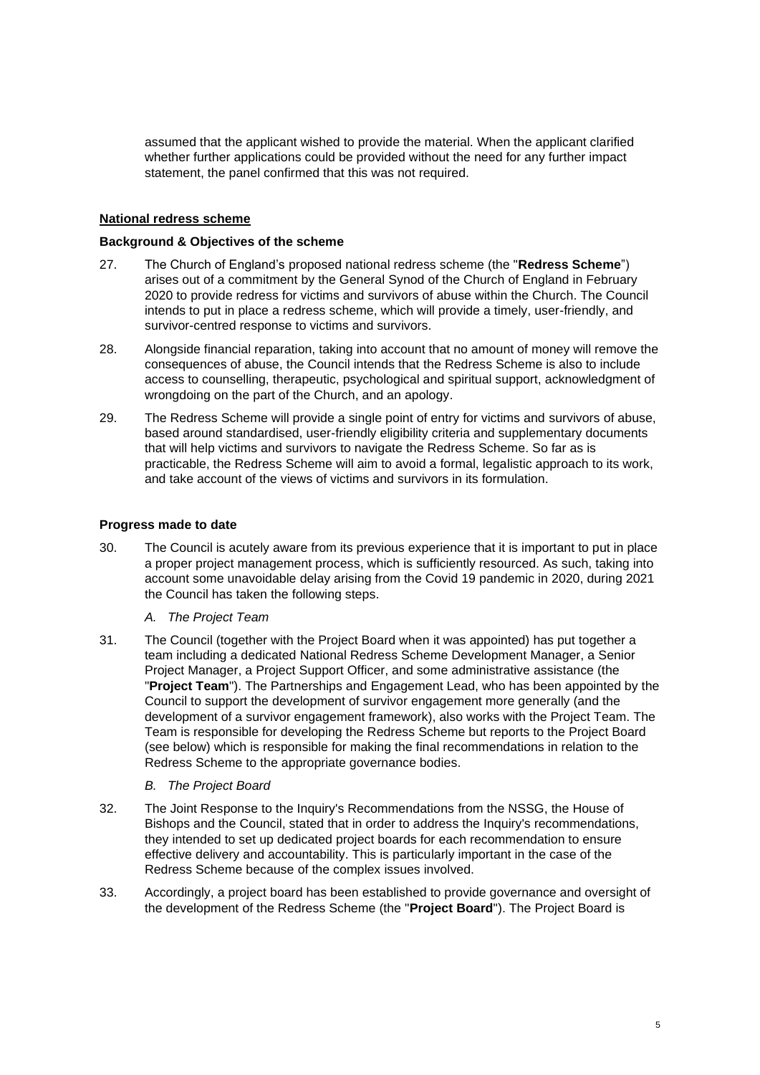assumed that the applicant wished to provide the material. When the applicant clarified whether further applications could be provided without the need for any further impact statement, the panel confirmed that this was not required.

### **National redress scheme**

#### **Background & Objectives of the scheme**

- 27. The Church of England's proposed national redress scheme (the "**Redress Scheme**") arises out of a commitment by the General Synod of the Church of England in February 2020 to provide redress for victims and survivors of abuse within the Church. The Council intends to put in place a redress scheme, which will provide a timely, user-friendly, and survivor-centred response to victims and survivors.
- 28. Alongside financial reparation, taking into account that no amount of money will remove the consequences of abuse, the Council intends that the Redress Scheme is also to include access to counselling, therapeutic, psychological and spiritual support, acknowledgment of wrongdoing on the part of the Church, and an apology.
- 29. The Redress Scheme will provide a single point of entry for victims and survivors of abuse, based around standardised, user-friendly eligibility criteria and supplementary documents that will help victims and survivors to navigate the Redress Scheme. So far as is practicable, the Redress Scheme will aim to avoid a formal, legalistic approach to its work, and take account of the views of victims and survivors in its formulation.

#### **Progress made to date**

30. The Council is acutely aware from its previous experience that it is important to put in place a proper project management process, which is sufficiently resourced. As such, taking into account some unavoidable delay arising from the Covid 19 pandemic in 2020, during 2021 the Council has taken the following steps.

### *A. The Project Team*

31. The Council (together with the Project Board when it was appointed) has put together a team including a dedicated National Redress Scheme Development Manager, a Senior Project Manager, a Project Support Officer, and some administrative assistance (the "**Project Team**"). The Partnerships and Engagement Lead, who has been appointed by the Council to support the development of survivor engagement more generally (and the development of a survivor engagement framework), also works with the Project Team. The Team is responsible for developing the Redress Scheme but reports to the Project Board (see below) which is responsible for making the final recommendations in relation to the Redress Scheme to the appropriate governance bodies.

### *B. The Project Board*

- 32. The Joint Response to the Inquiry's Recommendations from the NSSG, the House of Bishops and the Council, stated that in order to address the Inquiry's recommendations, they intended to set up dedicated project boards for each recommendation to ensure effective delivery and accountability. This is particularly important in the case of the Redress Scheme because of the complex issues involved.
- 33. Accordingly, a project board has been established to provide governance and oversight of the development of the Redress Scheme (the "**Project Board**"). The Project Board is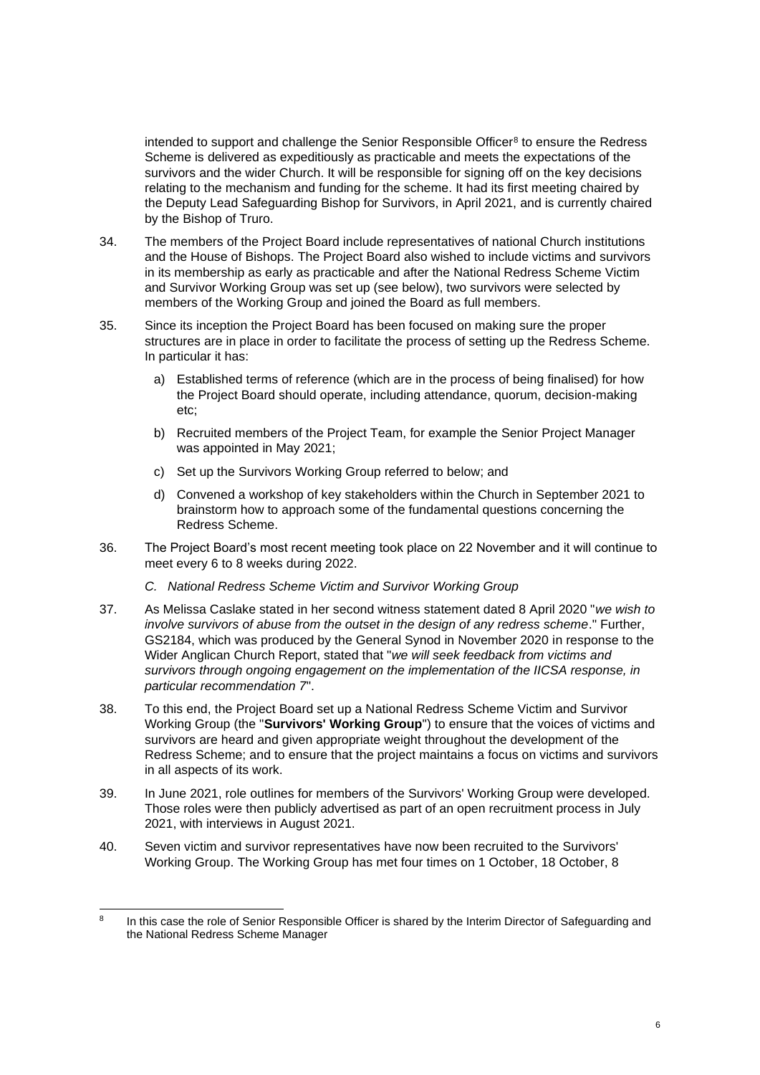intended to support and challenge the Senior Responsible Officer $^{\text{\tiny B}}$  to ensure the Redress Scheme is delivered as expeditiously as practicable and meets the expectations of the survivors and the wider Church. It will be responsible for signing off on the key decisions relating to the mechanism and funding for the scheme. It had its first meeting chaired by the Deputy Lead Safeguarding Bishop for Survivors, in April 2021, and is currently chaired by the Bishop of Truro.

- 34. The members of the Project Board include representatives of national Church institutions and the House of Bishops. The Project Board also wished to include victims and survivors in its membership as early as practicable and after the National Redress Scheme Victim and Survivor Working Group was set up (see below), two survivors were selected by members of the Working Group and joined the Board as full members.
- 35. Since its inception the Project Board has been focused on making sure the proper structures are in place in order to facilitate the process of setting up the Redress Scheme. In particular it has:
	- a) Established terms of reference (which are in the process of being finalised) for how the Project Board should operate, including attendance, quorum, decision-making etc;
	- b) Recruited members of the Project Team, for example the Senior Project Manager was appointed in May 2021;
	- c) Set up the Survivors Working Group referred to below; and
	- d) Convened a workshop of key stakeholders within the Church in September 2021 to brainstorm how to approach some of the fundamental questions concerning the Redress Scheme.
- 36. The Project Board's most recent meeting took place on 22 November and it will continue to meet every 6 to 8 weeks during 2022.
	- *C. National Redress Scheme Victim and Survivor Working Group*
- 37. As Melissa Caslake stated in her second witness statement dated 8 April 2020 "*we wish to involve survivors of abuse from the outset in the design of any redress scheme*." Further, GS2184, which was produced by the General Synod in November 2020 in response to the Wider Anglican Church Report, stated that "*we will seek feedback from victims and survivors through ongoing engagement on the implementation of the IICSA response, in particular recommendation 7*".
- 38. To this end, the Project Board set up a National Redress Scheme Victim and Survivor Working Group (the "**Survivors' Working Group**") to ensure that the voices of victims and survivors are heard and given appropriate weight throughout the development of the Redress Scheme; and to ensure that the project maintains a focus on victims and survivors in all aspects of its work.
- 39. In June 2021, role outlines for members of the Survivors' Working Group were developed. Those roles were then publicly advertised as part of an open recruitment process in July 2021, with interviews in August 2021.
- 40. Seven victim and survivor representatives have now been recruited to the Survivors' Working Group. The Working Group has met four times on 1 October, 18 October, 8

<sup>8</sup> In this case the role of Senior Responsible Officer is shared by the Interim Director of Safeguarding and the National Redress Scheme Manager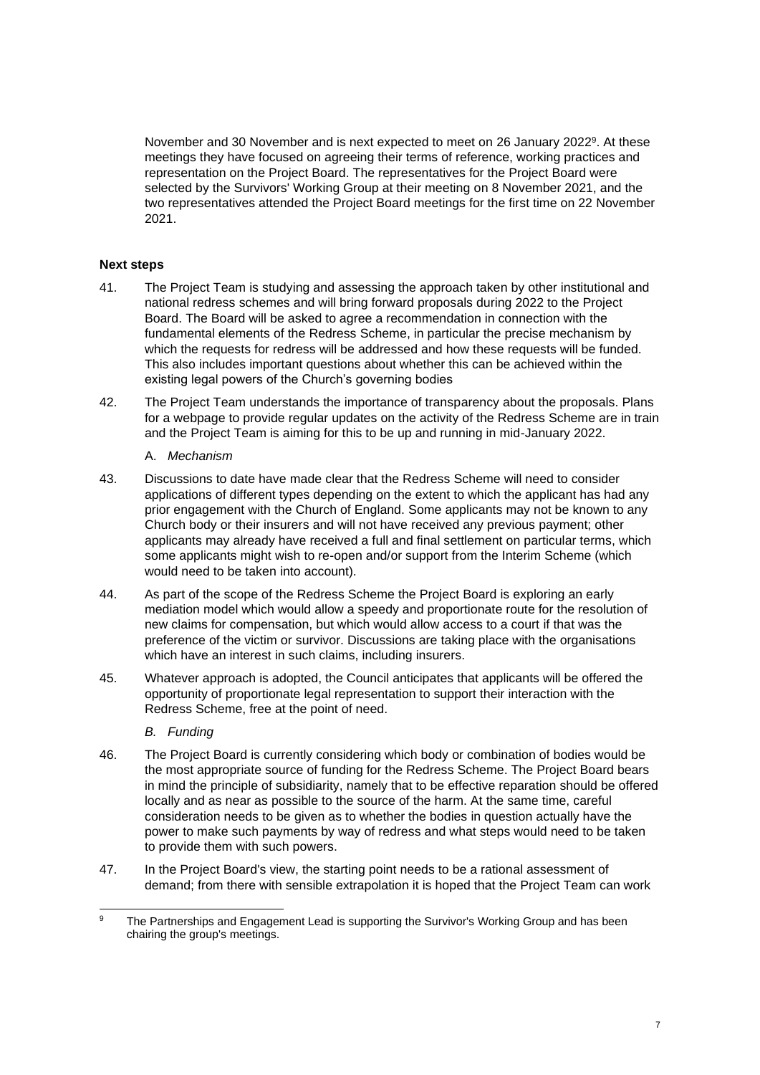November and 30 November and is next expected to meet on 26 January 2022<sup>9</sup> . At these meetings they have focused on agreeing their terms of reference, working practices and representation on the Project Board. The representatives for the Project Board were selected by the Survivors' Working Group at their meeting on 8 November 2021, and the two representatives attended the Project Board meetings for the first time on 22 November 2021.

#### **Next steps**

- 41. The Project Team is studying and assessing the approach taken by other institutional and national redress schemes and will bring forward proposals during 2022 to the Project Board. The Board will be asked to agree a recommendation in connection with the fundamental elements of the Redress Scheme, in particular the precise mechanism by which the requests for redress will be addressed and how these requests will be funded. This also includes important questions about whether this can be achieved within the existing legal powers of the Church's governing bodies
- 42. The Project Team understands the importance of transparency about the proposals. Plans for a webpage to provide regular updates on the activity of the Redress Scheme are in train and the Project Team is aiming for this to be up and running in mid-January 2022.

#### A. *Mechanism*

- 43. Discussions to date have made clear that the Redress Scheme will need to consider applications of different types depending on the extent to which the applicant has had any prior engagement with the Church of England. Some applicants may not be known to any Church body or their insurers and will not have received any previous payment; other applicants may already have received a full and final settlement on particular terms, which some applicants might wish to re-open and/or support from the Interim Scheme (which would need to be taken into account).
- 44. As part of the scope of the Redress Scheme the Project Board is exploring an early mediation model which would allow a speedy and proportionate route for the resolution of new claims for compensation, but which would allow access to a court if that was the preference of the victim or survivor. Discussions are taking place with the organisations which have an interest in such claims, including insurers.
- 45. Whatever approach is adopted, the Council anticipates that applicants will be offered the opportunity of proportionate legal representation to support their interaction with the Redress Scheme, free at the point of need.

### *B. Funding*

- 46. The Project Board is currently considering which body or combination of bodies would be the most appropriate source of funding for the Redress Scheme. The Project Board bears in mind the principle of subsidiarity, namely that to be effective reparation should be offered locally and as near as possible to the source of the harm. At the same time, careful consideration needs to be given as to whether the bodies in question actually have the power to make such payments by way of redress and what steps would need to be taken to provide them with such powers.
- 47. In the Project Board's view, the starting point needs to be a rational assessment of demand; from there with sensible extrapolation it is hoped that the Project Team can work

<sup>&</sup>lt;sup>9</sup> The Partnerships and Engagement Lead is supporting the Survivor's Working Group and has been chairing the group's meetings.